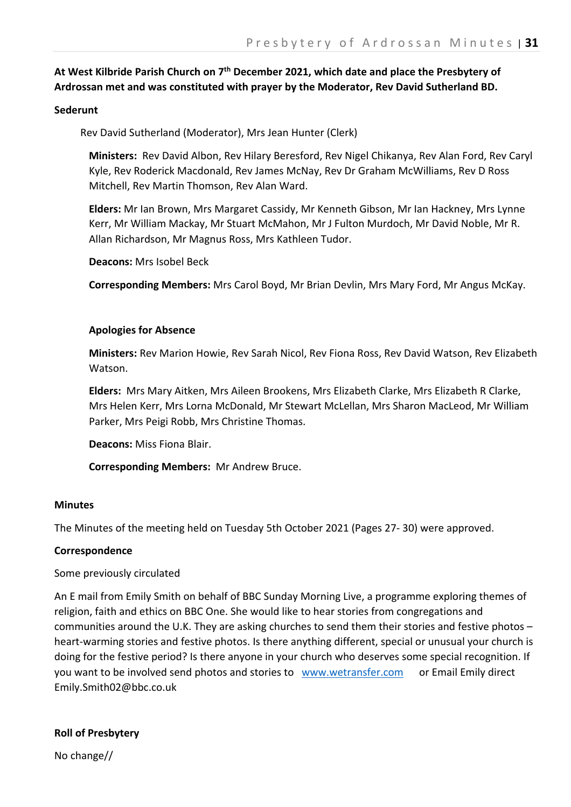# **At West Kilbride Parish Church on 7th December 2021, which date and place the Presbytery of Ardrossan met and was constituted with prayer by the Moderator, Rev David Sutherland BD.**

## **Sederunt**

Rev David Sutherland (Moderator), Mrs Jean Hunter (Clerk)

**Ministers:** Rev David Albon, Rev Hilary Beresford, Rev Nigel Chikanya, Rev Alan Ford, Rev Caryl Kyle, Rev Roderick Macdonald, Rev James McNay, Rev Dr Graham McWilliams, Rev D Ross Mitchell, Rev Martin Thomson, Rev Alan Ward.

**Elders:** Mr Ian Brown, Mrs Margaret Cassidy, Mr Kenneth Gibson, Mr Ian Hackney, Mrs Lynne Kerr, Mr William Mackay, Mr Stuart McMahon, Mr J Fulton Murdoch, Mr David Noble, Mr R. Allan Richardson, Mr Magnus Ross, Mrs Kathleen Tudor.

**Deacons:** Mrs Isobel Beck

**Corresponding Members:** Mrs Carol Boyd, Mr Brian Devlin, Mrs Mary Ford, Mr Angus McKay.

## **Apologies for Absence**

**Ministers:** Rev Marion Howie, Rev Sarah Nicol, Rev Fiona Ross, Rev David Watson, Rev Elizabeth Watson.

**Elders:** Mrs Mary Aitken, Mrs Aileen Brookens, Mrs Elizabeth Clarke, Mrs Elizabeth R Clarke, Mrs Helen Kerr, Mrs Lorna McDonald, Mr Stewart McLellan, Mrs Sharon MacLeod, Mr William Parker, Mrs Peigi Robb, Mrs Christine Thomas.

**Deacons:** Miss Fiona Blair.

**Corresponding Members:** Mr Andrew Bruce.

## **Minutes**

The Minutes of the meeting held on Tuesday 5th October 2021 (Pages 27- 30) were approved.

## **Correspondence**

## Some previously circulated

An E mail from Emily Smith on behalf of BBC Sunday Morning Live, a programme exploring themes of religion, faith and ethics on BBC One. She would like to hear stories from congregations and communities around the U.K. They are asking churches to send them their stories and festive photos – heart-warming stories and festive photos. Is there anything different, special or unusual your church is doing for the festive period? Is there anyone in your church who deserves some special recognition. If you want to be involved send photos and stories to www.wetransfer.com or Email Emily direct Emily.Smith02@bbc.co.uk

## **Roll of Presbytery**

No change//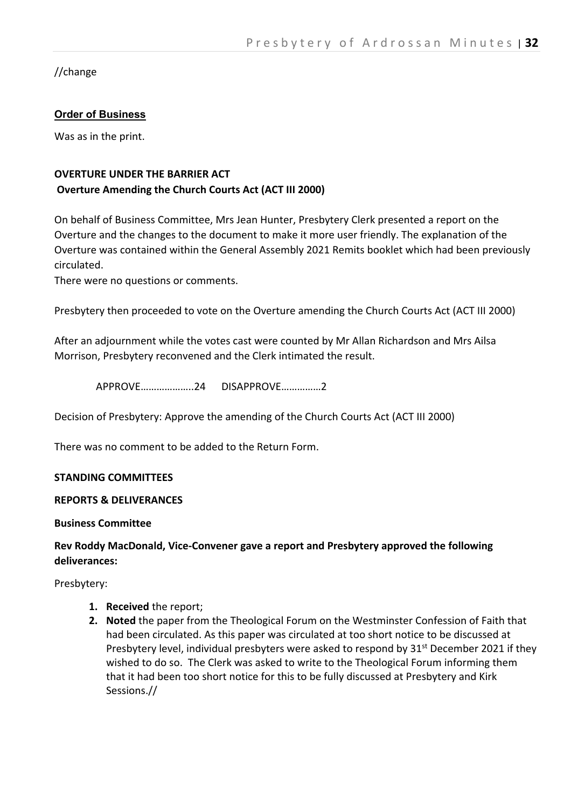//change

# **Order of Business**

Was as in the print.

# **OVERTURE UNDER THE BARRIER ACT Overture Amending the Church Courts Act (ACT III 2000)**

On behalf of Business Committee, Mrs Jean Hunter, Presbytery Clerk presented a report on the Overture and the changes to the document to make it more user friendly. The explanation of the Overture was contained within the General Assembly 2021 Remits booklet which had been previously circulated.

There were no questions or comments.

Presbytery then proceeded to vote on the Overture amending the Church Courts Act (ACT III 2000)

After an adjournment while the votes cast were counted by Mr Allan Richardson and Mrs Ailsa Morrison, Presbytery reconvened and the Clerk intimated the result.

APPROVE………………..24 DISAPPROVE……………2

Decision of Presbytery: Approve the amending of the Church Courts Act (ACT III 2000)

There was no comment to be added to the Return Form.

## **STANDING COMMITTEES**

## **REPORTS & DELIVERANCES**

**Business Committee**

## **Rev Roddy MacDonald, Vice-Convener gave a report and Presbytery approved the following deliverances:**

Presbytery:

- **1. Received** the report;
- **2. Noted** the paper from the Theological Forum on the Westminster Confession of Faith that had been circulated. As this paper was circulated at too short notice to be discussed at Presbytery level, individual presbyters were asked to respond by 31<sup>st</sup> December 2021 if they wished to do so. The Clerk was asked to write to the Theological Forum informing them that it had been too short notice for this to be fully discussed at Presbytery and Kirk Sessions.//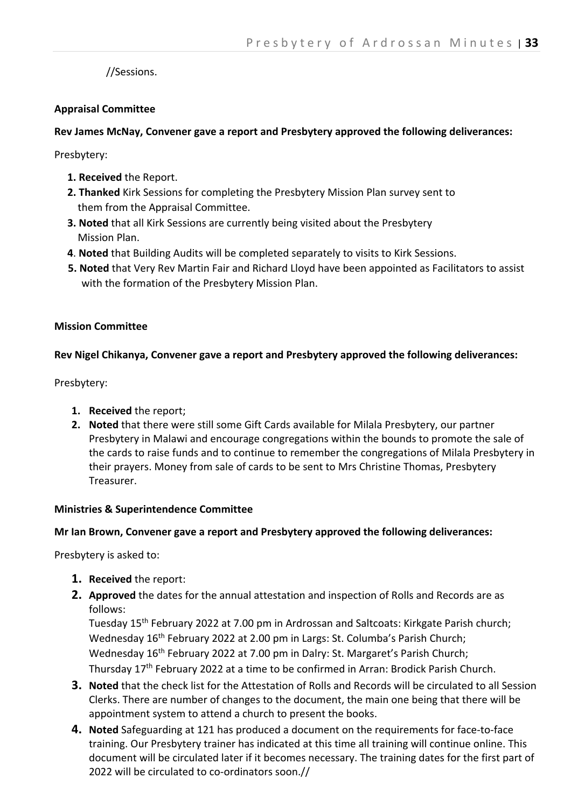//Sessions.

## **Appraisal Committee**

## **Rev James McNay, Convener gave a report and Presbytery approved the following deliverances:**

Presbytery:

- **1. Received** the Report.
- **2. Thanked** Kirk Sessions for completing the Presbytery Mission Plan survey sent to them from the Appraisal Committee.
- **3. Noted** that all Kirk Sessions are currently being visited about the Presbytery Mission Plan.
- **4**. **Noted** that Building Audits will be completed separately to visits to Kirk Sessions.
- **5. Noted** that Very Rev Martin Fair and Richard Lloyd have been appointed as Facilitators to assist with the formation of the Presbytery Mission Plan.

## **Mission Committee**

## **Rev Nigel Chikanya, Convener gave a report and Presbytery approved the following deliverances:**

Presbytery:

- **1. Received** the report;
- **2. Noted** that there were still some Gift Cards available for Milala Presbytery, our partner Presbytery in Malawi and encourage congregations within the bounds to promote the sale of the cards to raise funds and to continue to remember the congregations of Milala Presbytery in their prayers. Money from sale of cards to be sent to Mrs Christine Thomas, Presbytery Treasurer.

## **Ministries & Superintendence Committee**

## **Mr Ian Brown, Convener gave a report and Presbytery approved the following deliverances:**

Presbytery is asked to:

- **1. Received** the report:
- **2. Approved** the dates for the annual attestation and inspection of Rolls and Records are as follows:

Tuesday 15th February 2022 at 7.00 pm in Ardrossan and Saltcoats: Kirkgate Parish church; Wednesday 16<sup>th</sup> February 2022 at 2.00 pm in Largs: St. Columba's Parish Church; Wednesday 16<sup>th</sup> February 2022 at 7.00 pm in Dalry: St. Margaret's Parish Church; Thursday 17th February 2022 at a time to be confirmed in Arran: Brodick Parish Church.

- **3. Noted** that the check list for the Attestation of Rolls and Records will be circulated to all Session Clerks. There are number of changes to the document, the main one being that there will be appointment system to attend a church to present the books.
- **4. Noted** Safeguarding at 121 has produced a document on the requirements for face-to-face training. Our Presbytery trainer has indicated at this time all training will continue online. This document will be circulated later if it becomes necessary. The training dates for the first part of 2022 will be circulated to co-ordinators soon.//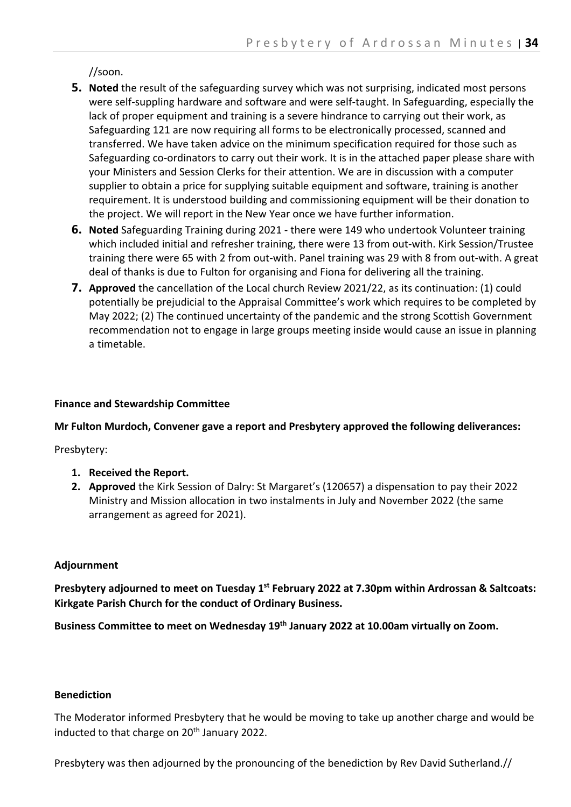//soon.

- **5. Noted** the result of the safeguarding survey which was not surprising, indicated most persons were self-suppling hardware and software and were self-taught. In Safeguarding, especially the lack of proper equipment and training is a severe hindrance to carrying out their work, as Safeguarding 121 are now requiring all forms to be electronically processed, scanned and transferred. We have taken advice on the minimum specification required for those such as Safeguarding co-ordinators to carry out their work. It is in the attached paper please share with your Ministers and Session Clerks for their attention. We are in discussion with a computer supplier to obtain a price for supplying suitable equipment and software, training is another requirement. It is understood building and commissioning equipment will be their donation to the project. We will report in the New Year once we have further information.
- **6. Noted** Safeguarding Training during 2021 there were 149 who undertook Volunteer training which included initial and refresher training, there were 13 from out-with. Kirk Session/Trustee training there were 65 with 2 from out-with. Panel training was 29 with 8 from out-with. A great deal of thanks is due to Fulton for organising and Fiona for delivering all the training.
- **7. Approved** the cancellation of the Local church Review 2021/22, as its continuation: (1) could potentially be prejudicial to the Appraisal Committee's work which requires to be completed by May 2022; (2) The continued uncertainty of the pandemic and the strong Scottish Government recommendation not to engage in large groups meeting inside would cause an issue in planning a timetable.

## **Finance and Stewardship Committee**

**Mr Fulton Murdoch, Convener gave a report and Presbytery approved the following deliverances:**

Presbytery:

- **1. Received the Report.**
- **2. Approved** the Kirk Session of Dalry: St Margaret's (120657) a dispensation to pay their 2022 Ministry and Mission allocation in two instalments in July and November 2022 (the same arrangement as agreed for 2021).

## **Adjournment**

**Presbytery adjourned to meet on Tuesday 1st February 2022 at 7.30pm within Ardrossan & Saltcoats: Kirkgate Parish Church for the conduct of Ordinary Business.**

**Business Committee to meet on Wednesday 19th January 2022 at 10.00am virtually on Zoom.**

## **Benediction**

The Moderator informed Presbytery that he would be moving to take up another charge and would be inducted to that charge on 20<sup>th</sup> January 2022.

Presbytery was then adjourned by the pronouncing of the benediction by Rev David Sutherland.//